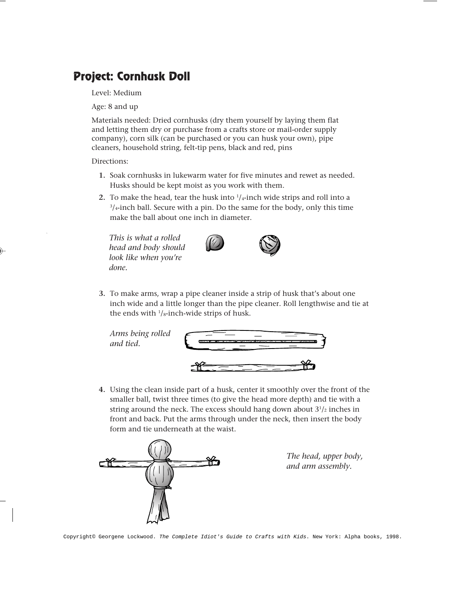## **Project: Cornhusk Doll**

Level: Medium

Age: 8 and up

Materials needed: Dried cornhusks (dry them yourself by laying them flat and letting them dry or purchase from a crafts store or mail-order supply company), corn silk (can be purchased or you can husk your own), pipe cleaners, household string, felt-tip pens, black and red, pins

Directions:

- **1.** Soak cornhusks in lukewarm water for five minutes and rewet as needed. Husks should be kept moist as you work with them.
- **2.** To make the head, tear the husk into <sup>1</sup>/<sub>4</sub>-inch wide strips and roll into a 3 /4-inch ball. Secure with a pin. Do the same for the body, only this time make the ball about one inch in diameter.

*This is what a rolled head and body should look like when you're done.*





**3.** To make arms, wrap a pipe cleaner inside a strip of husk that's about one inch wide and a little longer than the pipe cleaner. Roll lengthwise and tie at the ends with  $\frac{1}{s}$ -inch-wide strips of husk.



**4.** Using the clean inside part of a husk, center it smoothly over the front of the smaller ball, twist three times (to give the head more depth) and tie with a string around the neck. The excess should hang down about  $3<sup>1</sup>/2$  inches in front and back. Put the arms through under the neck, then insert the body form and tie underneath at the waist.



*The head, upper body, and arm assembly.*